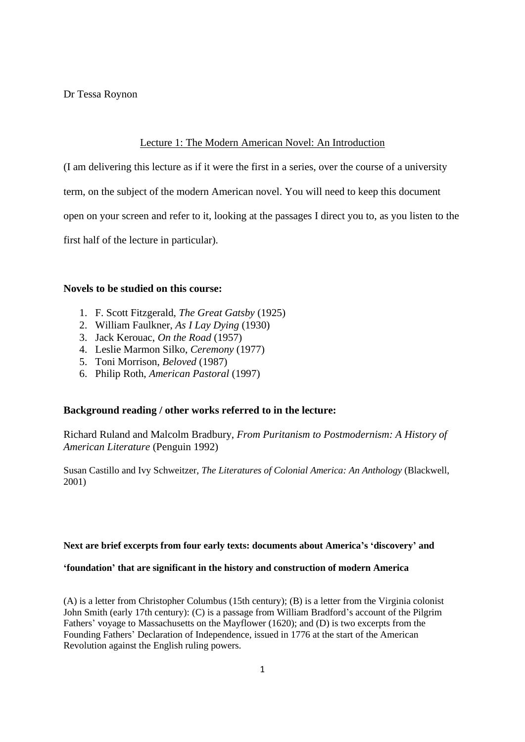Dr Tessa Roynon

# Lecture 1: The Modern American Novel: An Introduction

(I am delivering this lecture as if it were the first in a series, over the course of a university

term, on the subject of the modern American novel. You will need to keep this document

open on your screen and refer to it, looking at the passages I direct you to, as you listen to the

first half of the lecture in particular).

# **Novels to be studied on this course:**

- 1. F. Scott Fitzgerald, *The Great Gatsby* (1925)
- 2. William Faulkner, *As I Lay Dying* (1930)
- 3. Jack Kerouac, *On the Road* (1957)
- 4. Leslie Marmon Silko, *Ceremony* (1977)
- 5. Toni Morrison, *Beloved* (1987)
- 6. Philip Roth, *American Pastoral* (1997)

# **Background reading / other works referred to in the lecture:**

Richard Ruland and Malcolm Bradbury, *From Puritanism to Postmodernism: A History of American Literature* (Penguin 1992)

Susan Castillo and Ivy Schweitzer, *The Literatures of Colonial America: An Anthology* (Blackwell, 2001)

### **Next are brief excerpts from four early texts: documents about America's 'discovery' and**

### **'foundation' that are significant in the history and construction of modern America**

(A) is a letter from Christopher Columbus (15th century); (B) is a letter from the Virginia colonist John Smith (early 17th century): (C) is a passage from William Bradford's account of the Pilgrim Fathers' voyage to Massachusetts on the Mayflower (1620); and (D) is two excerpts from the Founding Fathers' Declaration of Independence, issued in 1776 at the start of the American Revolution against the English ruling powers.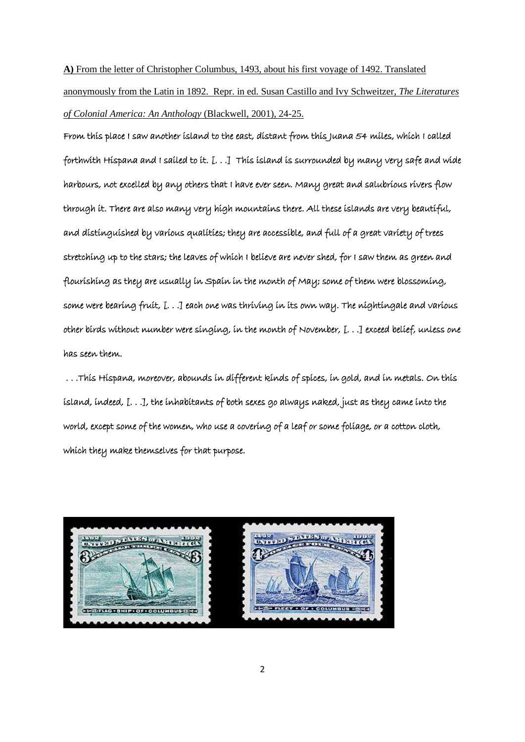#### **A)** From the letter of Christopher Columbus, 1493, about his first voyage of 1492. Translated

anonymously from the Latin in 1892. Repr. in ed. Susan Castillo and Ivy Schweitzer, *The Literatures of Colonial America: An Anthology* (Blackwell, 2001), 24-25.

From this place I saw another island to the east, distant from this Juana 54 miles, which I called forthwith Hispana and I sailed to it. [. . .] This island is surrounded by many very safe and wide harbours, not excelled by any others that I have ever seen. Many great and salubrious rivers flow through it. There are also many very high mountains there. All these islands are very beautiful, and distinguished by various qualities; they are accessible, and full of a great variety of trees stretching up to the stars; the leaves of which I believe are never shed, for I saw them as green and flourishing as they are usually in Spain in the month of May; some of them were blossoming, some were bearing fruit, [. . .] each one was thriving in its own way. The nightingale and various other birds without number were singing, in the month of November, [. . .] exceed belief, unless one has seen them.

 . . .This Hispana, moreover, abounds in different kinds of spices, in gold, and in metals. On this island, indeed, [. . .], the inhabitants of both sexes go always naked, just as they came into the world, except some of the women, who use a covering of a leaf or some foliage, or a cotton cloth, which they make themselves for that purpose.

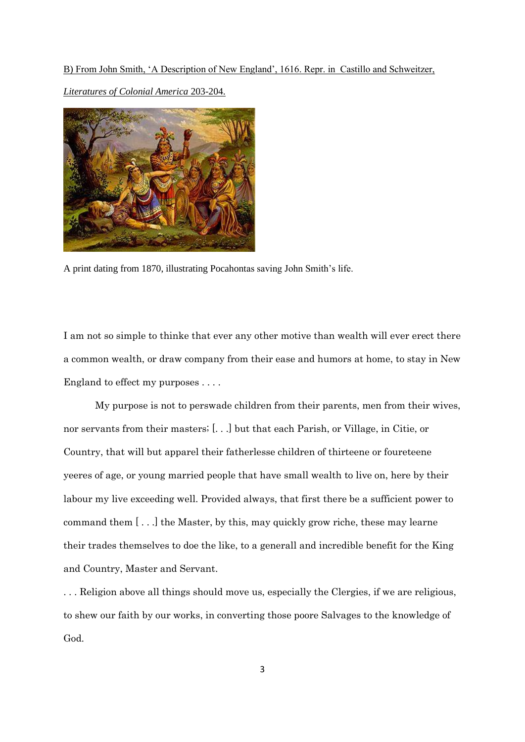B) From John Smith, 'A Description of New England', 1616. Repr. in Castillo and Schweitzer,



*Literatures of Colonial America* 203-204.

A print dating from 1870, illustrating Pocahontas saving John Smith's life.

I am not so simple to thinke that ever any other motive than wealth will ever erect there a common wealth, or draw company from their ease and humors at home, to stay in New England to effect my purposes . . . .

My purpose is not to perswade children from their parents, men from their wives, nor servants from their masters; [. . .] but that each Parish, or Village, in Citie, or Country, that will but apparel their fatherlesse children of thirteene or foureteene yeeres of age, or young married people that have small wealth to live on, here by their labour my live exceeding well. Provided always, that first there be a sufficient power to command them [ . . .] the Master, by this, may quickly grow riche, these may learne their trades themselves to doe the like, to a generall and incredible benefit for the King and Country, Master and Servant.

. . . Religion above all things should move us, especially the Clergies, if we are religious, to shew our faith by our works, in converting those poore Salvages to the knowledge of God.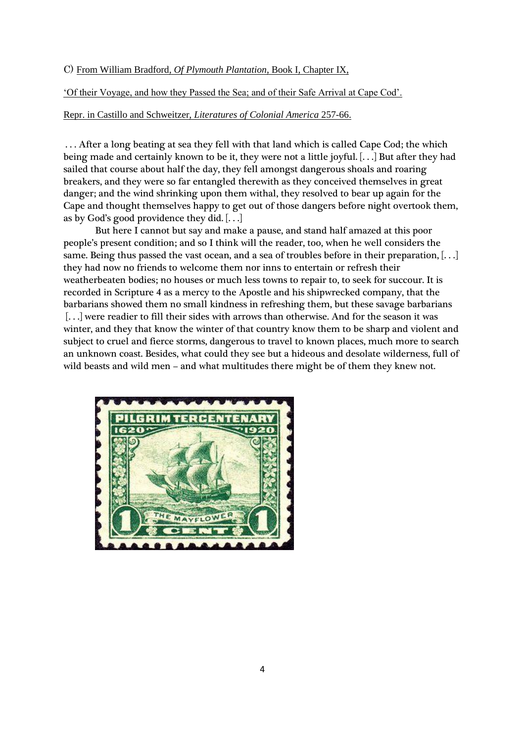#### C) From William Bradford, *Of Plymouth Plantation*, Book I, Chapter IX,

### 'Of their Voyage, and how they Passed the Sea; and of their Safe Arrival at Cape Cod'.

# Repr. in Castillo and Schweitzer, *Literatures of Colonial America* 257-66.

. . . After a long beating at sea they fell with that land which is called Cape Cod; the which being made and certainly known to be it, they were not a little joyful. [. . .] But after they had sailed that course about half the day, they fell amongst dangerous shoals and roaring breakers, and they were so far entangled therewith as they conceived themselves in great danger; and the wind shrinking upon them withal, they resolved to bear up again for the Cape and thought themselves happy to get out of those dangers before night overtook them, as by God's good providence they did.  $[...]$ 

But here I cannot but say and make a pause, and stand half amazed at this poor people's present condition; and so I think will the reader, too, when he well considers the same. Being thus passed the vast ocean, and a sea of troubles before in their preparation, [...] they had now no friends to welcome them nor inns to entertain or refresh their weatherbeaten bodies; no houses or much less towns to repair to, to seek for succour. It is recorded in Scripture 4 as a mercy to the Apostle and his shipwrecked company, that the barbarians showed them no small kindness in refreshing them, but these savage barbarians [...] were readier to fill their sides with arrows than otherwise. And for the season it was winter, and they that know the winter of that country know them to be sharp and violent and subject to cruel and fierce storms, dangerous to travel to known places, much more to search an unknown coast. Besides, what could they see but a hideous and desolate wilderness, full of wild beasts and wild men – and what multitudes there might be of them they knew not.